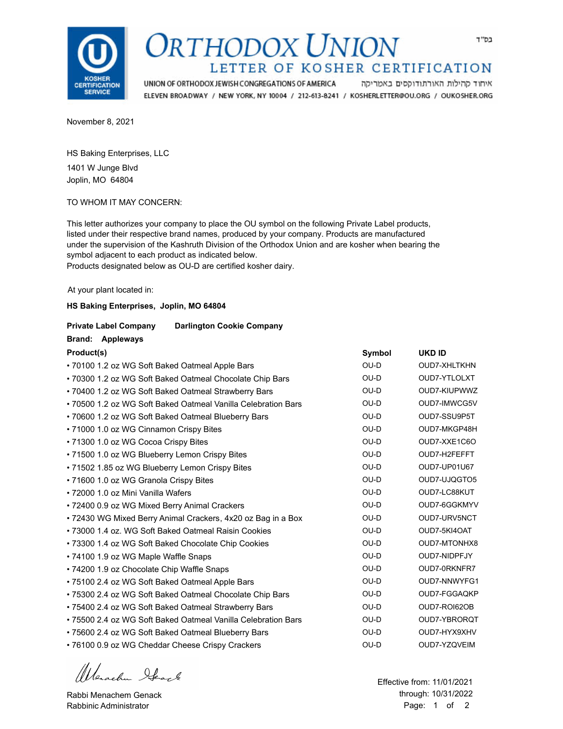

## ORTHODOX UNION LETTER OF KOSHER CERTIFICATION

UNION OF ORTHODOX JEWISH CONGREGATIONS OF AMERICA איחוד קהילות האורתודוקסים באמריקה ELEVEN BROADWAY / NEW YORK, NY 10004 / 212-613-8241 / KOSHERLETTER@OU.ORG / OUKOSHER.ORG

November 8, 2021

HS Baking Enterprises, LLC 1401 W Junge Blvd Joplin, MO 64804

TO WHOM IT MAY CONCERN:

This letter authorizes your company to place the OU symbol on the following Private Label products, listed under their respective brand names, produced by your company. Products are manufactured under the supervision of the Kashruth Division of the Orthodox Union and are kosher when bearing the symbol adjacent to each product as indicated below.

Products designated below as OU-D are certified kosher dairy.

At your plant located in:

#### **HS Baking Enterprises, Joplin, MO 64804**

#### **Private Label Company Darlington Cookie Company**

| Product(s)                                                    | Symbol | <b>UKD ID</b>       |
|---------------------------------------------------------------|--------|---------------------|
| • 70100 1.2 oz WG Soft Baked Oatmeal Apple Bars               | OU-D   | <b>OUD7-XHLTKHN</b> |
| • 70300 1.2 oz WG Soft Baked Oatmeal Chocolate Chip Bars      | OU-D   | OUD7-YTLOLXT        |
| • 70400 1.2 oz WG Soft Baked Oatmeal Strawberry Bars          | OU-D   | OUD7-KIUPWWZ        |
| • 70500 1.2 oz WG Soft Baked Oatmeal Vanilla Celebration Bars | OU-D   | OUD7-IMWCG5V        |
| • 70600 1.2 oz WG Soft Baked Oatmeal Blueberry Bars           | OU-D   | OUD7-SSU9P5T        |
| • 71000 1.0 oz WG Cinnamon Crispy Bites                       | $OU-D$ | OUD7-MKGP48H        |
| • 71300 1.0 oz WG Cocoa Crispy Bites                          | OU-D   | OUD7-XXE1C6O        |
| • 71500 1.0 oz WG Blueberry Lemon Crispy Bites                | OU-D   | OUD7-H2FEFFT        |
| • 71502 1.85 oz WG Blueberry Lemon Crispy Bites               | OU-D   | OUD7-UP01U67        |
| • 71600 1.0 oz WG Granola Crispy Bites                        | OU-D   | OUD7-UJQGTO5        |
| • 72000 1.0 oz Mini Vanilla Wafers                            | OU-D   | OUD7-LC88KUT        |
| • 72400 0.9 oz WG Mixed Berry Animal Crackers                 | OU-D   | OUD7-6GGKMYV        |
| • 72430 WG Mixed Berry Animal Crackers, 4x20 oz Bag in a Box  | $OU-D$ | OUD7-URV5NCT        |
| • 73000 1.4 oz. WG Soft Baked Oatmeal Raisin Cookies          | OU-D   | OUD7-5KI4OAT        |
| • 73300 1.4 oz WG Soft Baked Chocolate Chip Cookies           | OU-D   | OUD7-MTONHX8        |
| • 74100 1.9 oz WG Maple Waffle Snaps                          | OU-D   | OUD7-NIDPFJY        |
| • 74200 1.9 oz Chocolate Chip Waffle Snaps                    | OU-D   | OUD7-0RKNFR7        |
| • 75100 2.4 oz WG Soft Baked Oatmeal Apple Bars               | OU-D   | OUD7-NNWYFG1        |
| • 75300 2.4 oz WG Soft Baked Oatmeal Chocolate Chip Bars      | OU-D   | OUD7-FGGAQKP        |
| • 75400 2.4 oz WG Soft Baked Oatmeal Strawberry Bars          | OU-D   | OUD7-ROI62OB        |
| • 75500 2.4 oz WG Soft Baked Oatmeal Vanilla Celebration Bars | OU-D   | OUD7-YBRORQT        |
| • 75600 2.4 oz WG Soft Baked Oatmeal Blueberry Bars           | OU-D   | OUD7-HYX9XHV        |
| • 76100 0.9 oz WG Cheddar Cheese Crispy Crackers              | OU-D   | OUD7-YZQVEIM        |

Wenachen Stack

Rabbi Menachem Genack Rabbinic Administrator

 through: 10/31/2022 Effective from: 11/01/2021 Page: 1 of 2